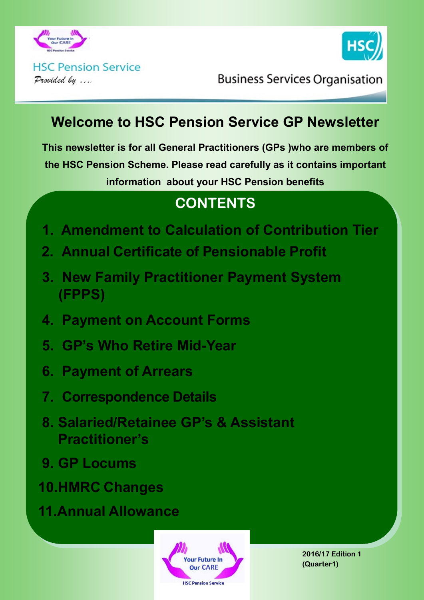



**HSC Pension Service** Provided by ....

**Business Services Organisation** 

## **Welcome to HSC Pension Service GP Newsletter**

**This newsletter is for all General Practitioners (GPs )who are members of the HSC Pension Scheme. Please read carefully as it contains important information about your HSC Pension benefits**

# **CONTENTS**

- **1. Amendment to Calculation of Contribution Tier**
- **2. Annual Certificate of Pensionable Profit**
- **3. New Family Practitioner Payment System (FPPS)**
- **4. Payment on Account Forms**
- **5. GP's Who Retire Mid-Year**
- **6. Payment of Arrears**
- **7. Correspondence Details**
- **8. Salaried/Retainee GP's & Assistant Practitioner's**
- **9. GP Locums**
- **10.HMRC Changes**
- **11.Annual Allowance**



**2016/17 Edition 1 (Quarter1)**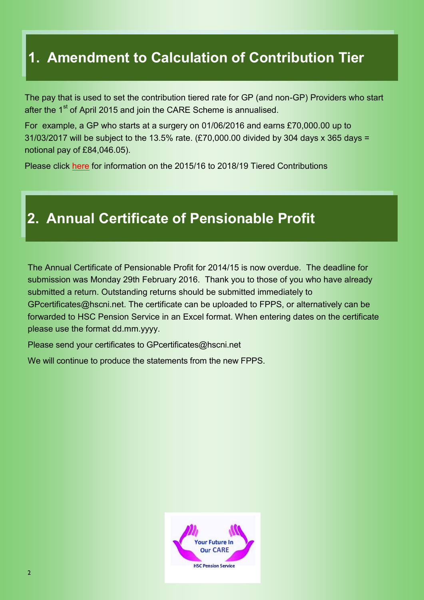## **1. Amendment to Calculation of Contribution Tier**

The pay that is used to set the contribution tiered rate for GP (and non-GP) Providers who start after the 1<sup>st</sup> of April 2015 and join the CARE Scheme is annualised.

For example, a GP who starts at a surgery on 01/06/2016 and earns £70,000.00 up to 31/03/2017 will be subject to the 13.5% rate. (£70,000.00 divided by 304 days x 365 days = notional pay of £84,046.05).

Please click [here](http://www.hscpensions.hscni.net/download/Members/member_factsheets/Tiered-Contributions-for-Scheme-Years-2015-2016-through-to-2018-2019.pdf) for information on the 2015/16 to 2018/19 Tiered Contributions

#### **2. Annual Certificate of Pensionable Profit**

The Annual Certificate of Pensionable Profit for 2014/15 is now overdue.The deadline for submission was Monday 29th February 2016. Thank you to those of you who have already submitted a return. Outstanding returns should be submitted immediately to GPcertificates@hscni.net. The certificate can be uploaded to FPPS, or alternatively can be forwarded to HSC Pension Service in an Excel format. When entering dates on the certificate please use the format dd.mm.yyyy.

Please send your certificates to GPcertificates@hscni.net

We will continue to produce the statements from the new FPPS.

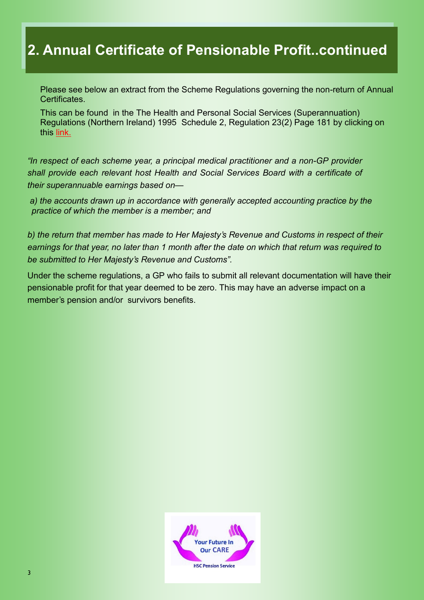## **2. Annual Certificate of Pensionable Profit..continued**

Please see below an extract from the Scheme Regulations governing the non-return of Annual Certificates.

This can be found in the The Health and Personal Social Services (Superannuation) Regulations (Northern Ireland) 1995 Schedule 2, Regulation 23(2) Page 181 by clicking on this [link.](http://www.hscpensions.hscni.net/wp-content/uploads/2012/11/Consolidated-Regs-1995-Section-at-1-4-2015.docx)

*"In respect of each scheme year, a principal medical practitioner and a non-GP provider shall provide each relevant host Health and Social Services Board with a certificate of their superannuable earnings based on—*

*a) the accounts drawn up in accordance with generally accepted accounting practice by the practice of which the member is a member; and*

*b) the return that member has made to Her Majesty's Revenue and Customs in respect of their earnings for that year, no later than 1 month after the date on which that return was required to be submitted to Her Majesty's Revenue and Customs".*

Under the scheme regulations, a GP who fails to submit all relevant documentation will have their pensionable profit for that year deemed to be zero. This may have an adverse impact on a member's pension and/or survivors benefits.

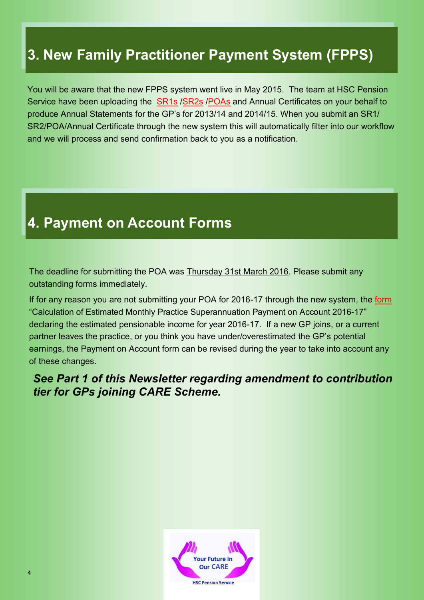# **3. New Family Practitioner Payment System (FPPS)**

You will be aware that the new FPPS system went live in May 2015. The team at HSC Pension Service have been uploading the [SR1s](http://www.hscpensions.hscni.net/download/Practitioners/SRI-2016-17.pdf) [/SR2s](http://www.hscpensions.hscni.net/download/Practitioners/SR2-Form-for-Salaried-GPs-2016-17.pdf) [/POAs](http://www.hscpensions.hscni.net/download/Practitioners/POA-2016-17.pdf) and Annual Certificates on your behalf to produce Annual Statements for the GP's for 2013/14 and 2014/15. When you submit an SR1/ SR2/POA/Annual Certificate through the new system this will automatically filter into our workflow and we will process and send confirmation back to you as a notification.

## **4. Payment on Account Forms**

The deadline for submitting the POA was Thursday 31st March 2016. Please submit any outstanding forms immediately.

If for any reason you are not submitting your POA for 2016-17 through the new system, the [form](http://www.hscpensions.hscni.net/download/Practitioners/POA-2016-171.xlsx) "Calculation of Estimated Monthly Practice Superannuation Payment on Account 2016-17" declaring the estimated pensionable income for year 2016-17. If a new GP joins, or a current partner leaves the practice, or you think you have under/overestimated the GP's potential earnings, the Payment on Account form can be revised during the year to take into account any of these changes.

#### *See Part 1 of this Newsletter regarding amendment to contribution tier for GPs joining CARE Scheme.*

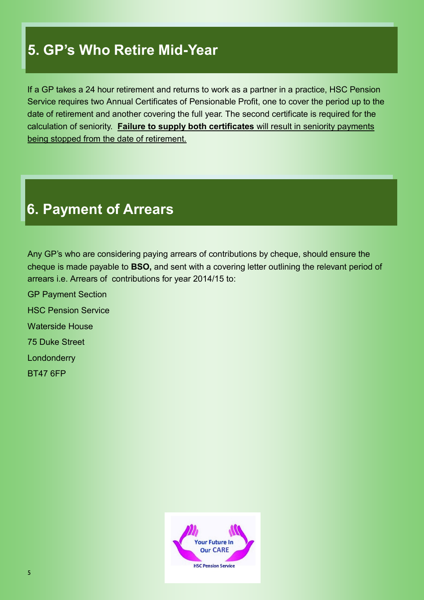## **5. GP's Who Retire Mid-Year**

If a GP takes a 24 hour retirement and returns to work as a partner in a practice, HSC Pension Service requires two Annual Certificates of Pensionable Profit, one to cover the period up to the date of retirement and another covering the full year. The second certificate is required for the calculation of seniority. **Failure to supply both certificates** will result in seniority payments being stopped from the date of retirement.

#### **6. Payment of Arrears**

Any GP's who are considering paying arrears of contributions by cheque, should ensure the cheque is made payable to **BSO,** and sent with a covering letter outlining the relevant period of arrears i.e. Arrears of contributions for year 2014/15 to:

GP Payment Section HSC Pension Service Waterside House 75 Duke Street **Londonderry** BT47 6FP

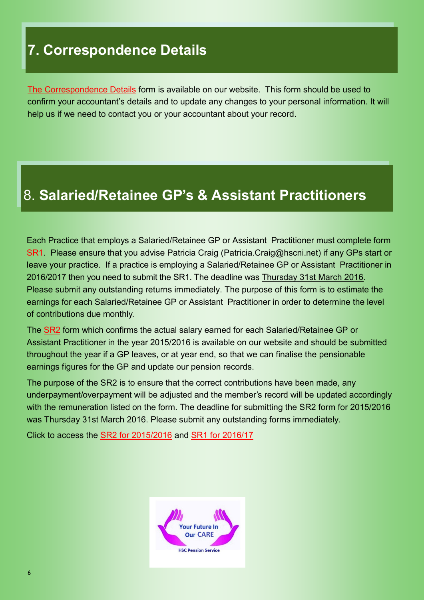## **7. Correspondence Details**

[The Correspondence Details](http://www.hscpensions.hscni.net/download/CORRESPONDENCE-DETAILS.docx) form is available on our website. This form should be used to confirm your accountant's details and to update any changes to your personal information. It will help us if we need to contact you or your accountant about your record.

## 8. **Salaried/Retainee GP's & Assistant Practitioners**

Each Practice that employs a Salaried/Retainee GP or Assistant Practitioner must complete form [SR1.](http://www.hscpensions.hscni.net/download/Practitioners/SRI-2016-17.pdf) Please ensure that you advise Patricia Craig [\(Patricia.Craig@hscni.net\)](mailto:Patricia.Craig@hscni.net) if any GPs start or leave your practice. If a practice is employing a Salaried/Retainee GP or Assistant Practitioner in 2016/2017 then you need to submit the SR1. The deadline was Thursday 31st March 2016. Please submit any outstanding returns immediately. The purpose of this form is to estimate the earnings for each Salaried/Retainee GP or Assistant Practitioner in order to determine the level of contributions due monthly.

The [SR2](http://www.hscpensions.hscni.net/download/Practitioners/SR2-Form-for-Salaried-GPs-2016-17.pdf) form which confirms the actual salary earned for each Salaried/Retainee GP or Assistant Practitioner in the year 2015/2016 is available on our website and should be submitted throughout the year if a GP leaves, or at year end, so that we can finalise the pensionable earnings figures for the GP and update our pension records.

The purpose of the SR2 is to ensure that the correct contributions have been made, any underpayment/overpayment will be adjusted and the member's record will be updated accordingly with the remuneration listed on the form. The deadline for submitting the SR2 form for 2015/2016 was Thursday 31st March 2016. Please submit any outstanding forms immediately.

Click to access the [SR2 for 2015/2016](http://www.hscpensions.hscni.net/download/Practitioners/SR2-Form-for-Salaried-GPs-2015-161.pdf) and [SR1 for 2016/17](http://www.hscpensions.hscni.net/download/Practitioners/SRI-2016-17.pdf)

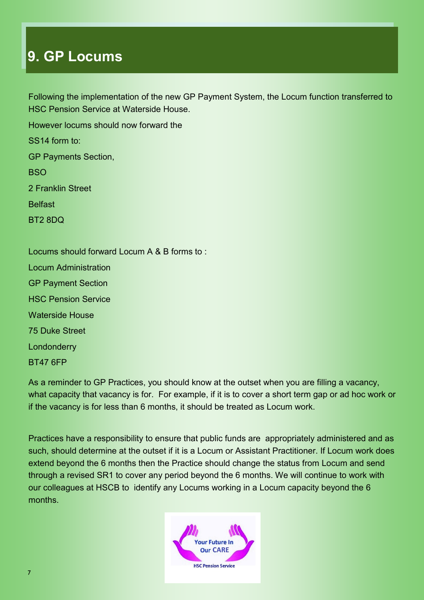#### **9. GP Locums**

Following the implementation of the new GP Payment System, the Locum function transferred to HSC Pension Service at Waterside House.

However locums should now forward the SS14 form to: GP Payments Section, **BSO** 2 Franklin Street Belfast

BT2 8DQ

Locums should forward Locum A & B forms to : Locum Administration GP Payment Section HSC Pension Service Waterside House 75 Duke Street Londonderry

BT47 6FP

As a reminder to GP Practices, you should know at the outset when you are filling a vacancy, what capacity that vacancy is for. For example, if it is to cover a short term gap or ad hoc work or if the vacancy is for less than 6 months, it should be treated as Locum work.

Practices have a responsibility to ensure that public funds are appropriately administered and as such, should determine at the outset if it is a Locum or Assistant Practitioner. If Locum work does extend beyond the 6 months then the Practice should change the status from Locum and send through a revised SR1 to cover any period beyond the 6 months. We will continue to work with our colleagues at HSCB to identify any Locums working in a Locum capacity beyond the 6 months.

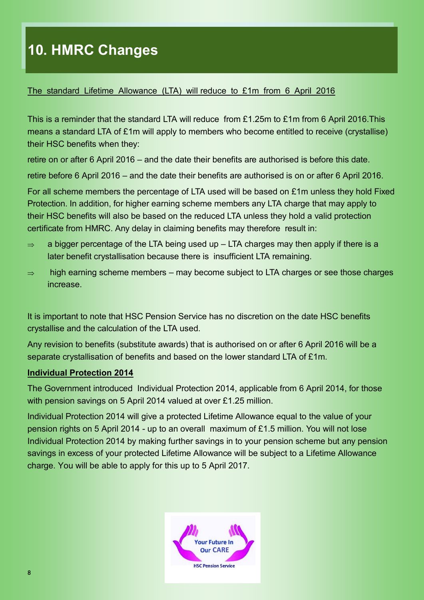# **10. HMRC Changes**

#### The standard Lifetime Allowance (LTA) will reduce to £1m from 6 April 2016

This is a reminder that the standard LTA will reduce from £1.25m to £1m from 6 April 2016.This means a standard LTA of £1m will apply to members who become entitled to receive (crystallise) their HSC benefits when they:

retire on or after 6 April 2016 – and the date their benefits are authorised is before this date.

retire before 6 April 2016 – and the date their benefits are authorised is on or after 6 April 2016.

For all scheme members the percentage of LTA used will be based on £1m unless they hold Fixed Protection. In addition, for higher earning scheme members any LTA charge that may apply to their HSC benefits will also be based on the reduced LTA unless they hold a valid protection certificate from HMRC. Any delay in claiming benefits may therefore result in:

- $\Rightarrow$  a bigger percentage of the LTA being used up LTA charges may then apply if there is a later benefit crystallisation because there is insufficient LTA remaining.
- $\Rightarrow$  high earning scheme members may become subject to LTA charges or see those charges increase.

It is important to note that HSC Pension Service has no discretion on the date HSC benefits crystallise and the calculation of the LTA used.

Any revision to benefits (substitute awards) that is authorised on or after 6 April 2016 will be a separate crystallisation of benefits and based on the lower standard LTA of £1m.

#### **Individual Protection 2014**

The Government introduced Individual Protection 2014, applicable from 6 April 2014, for those with pension savings on 5 April 2014 valued at over £1.25 million.

Individual Protection 2014 will give a protected Lifetime Allowance equal to the value of your pension rights on 5 April 2014 - up to an overall maximum of £1.5 million. You will not lose Individual Protection 2014 by making further savings in to your pension scheme but any pension savings in excess of your protected Lifetime Allowance will be subject to a Lifetime Allowance charge. You will be able to apply for this up to 5 April 2017.

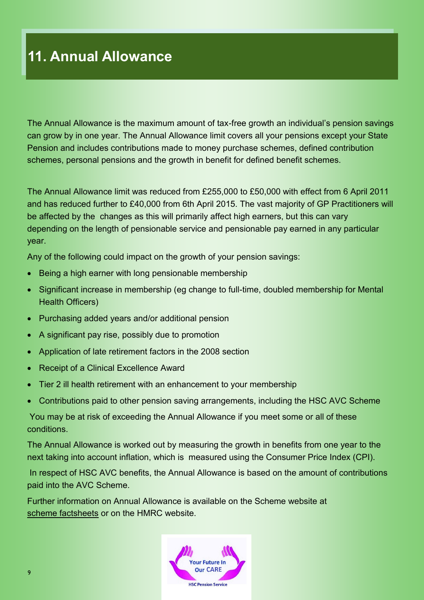## **11. Annual Allowance**

The Annual Allowance is the maximum amount of tax-free growth an individual's pension savings can grow by in one year. The Annual Allowance limit covers all your pensions except your State Pension and includes contributions made to money purchase schemes, defined contribution schemes, personal pensions and the growth in benefit for defined benefit schemes.

The Annual Allowance limit was reduced from £255,000 to £50,000 with effect from 6 April 2011 and has reduced further to £40,000 from 6th April 2015. The vast majority of GP Practitioners will be affected by the changes as this will primarily affect high earners, but this can vary depending on the length of pensionable service and pensionable pay earned in any particular year.

Any of the following could impact on the growth of your pension savings:

- Being a high earner with long pensionable membership
- Significant increase in membership (eg change to full-time, doubled membership for Mental Health Officers)
- Purchasing added years and/or additional pension
- A significant pay rise, possibly due to promotion
- Application of late retirement factors in the 2008 section
- Receipt of a Clinical Excellence Award
- Tier 2 ill health retirement with an enhancement to your membership
- Contributions paid to other pension saving arrangements, including the HSC AVC Scheme

You may be at risk of exceeding the Annual Allowance if you meet some or all of these conditions.

The Annual Allowance is worked out by measuring the growth in benefits from one year to the next taking into account inflation, which is measured using the Consumer Price Index (CPI).

In respect of HSC AVC benefits, the Annual Allowance is based on the amount of contributions paid into the AVC Scheme.

Further information on Annual Allowance is available on the Scheme website at [scheme factsheets](http://www.hscpensions.hscni.net/members/members/factsheets/) or on the HMRC website.